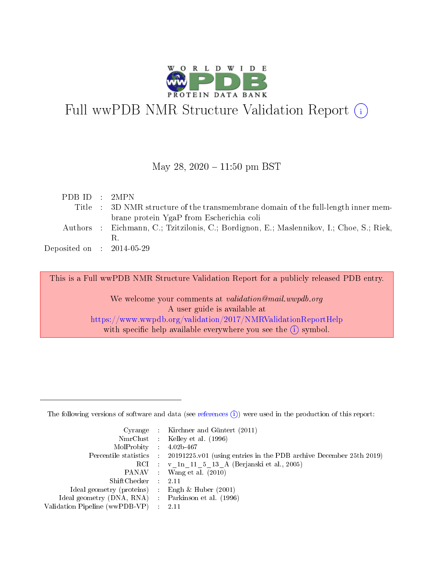

# Full wwPDB NMR Structure Validation Report (i)

### May 28,  $2020 - 11:50$  pm BST

| PDB ID : 2MPN               |                                                                                          |
|-----------------------------|------------------------------------------------------------------------------------------|
|                             | Title : 3D NMR structure of the transmembrane domain of the full-length inner mem-       |
|                             | brane protein YgaP from Escherichia coli                                                 |
|                             | Authors : Eichmann, C.; Tzitzilonis, C.; Bordignon, E.; Maslennikov, I.; Choe, S.; Riek, |
|                             | В.                                                                                       |
| Deposited on : $2014-05-29$ |                                                                                          |
|                             |                                                                                          |

This is a Full wwPDB NMR Structure Validation Report for a publicly released PDB entry.

We welcome your comments at *validation@mail.wwpdb.org* A user guide is available at <https://www.wwpdb.org/validation/2017/NMRValidationReportHelp> with specific help available everywhere you see the  $(i)$  symbol.

The following versions of software and data (see [references](https://www.wwpdb.org/validation/2017/NMRValidationReportHelp#references)  $(1)$ ) were used in the production of this report:

|                                                     | Cyrange : Kirchner and Güntert (2011)                                                      |
|-----------------------------------------------------|--------------------------------------------------------------------------------------------|
|                                                     | NmrClust : Kelley et al. (1996)                                                            |
| $MolProbability$ 4.02b-467                          |                                                                                            |
|                                                     | Percentile statistics : 20191225.v01 (using entries in the PDB archive December 25th 2019) |
|                                                     | RCI : v 1n 11 5 13 A (Berjanski et al., 2005)                                              |
|                                                     | PANAV : Wang et al. (2010)                                                                 |
| $ShiftChecker$ : 2.11                               |                                                                                            |
| Ideal geometry (proteins) : Engh $\&$ Huber (2001)  |                                                                                            |
| Ideal geometry (DNA, RNA) : Parkinson et al. (1996) |                                                                                            |
| Validation Pipeline (wwPDB-VP)                      | - 2.11                                                                                     |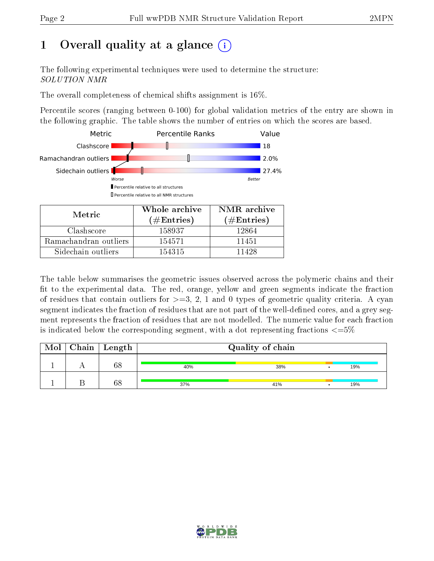# 1 [O](https://www.wwpdb.org/validation/2017/NMRValidationReportHelp#overall_quality)verall quality at a glance  $(i)$

The following experimental techniques were used to determine the structure: SOLUTION NMR

The overall completeness of chemical shifts assignment is 16%.

Percentile scores (ranging between 0-100) for global validation metrics of the entry are shown in the following graphic. The table shows the number of entries on which the scores are based.



| Metric                | Whole archive<br>$(\#\mathrm{Entries})$ | NMR archive<br>$(\#Entries)$ |
|-----------------------|-----------------------------------------|------------------------------|
| Clashscore            | 158937                                  | 12864                        |
| Ramachandran outliers | 154571                                  | 11451                        |
| Sidechain outliers    | 154315                                  | 11428                        |

The table below summarises the geometric issues observed across the polymeric chains and their fit to the experimental data. The red, orange, yellow and green segments indicate the fraction of residues that contain outliers for  $>=3, 2, 1$  and 0 types of geometric quality criteria. A cyan segment indicates the fraction of residues that are not part of the well-defined cores, and a grey segment represents the fraction of residues that are not modelled. The numeric value for each fraction is indicated below the corresponding segment, with a dot representing fractions  $\epsilon = 5\%$ 

| Mol | $Chain \  Length$ |     | Quality of chain |     |
|-----|-------------------|-----|------------------|-----|
|     | 68                | 40% | 38%              | 19% |
|     | 68                | 37% | 41%              | 19% |

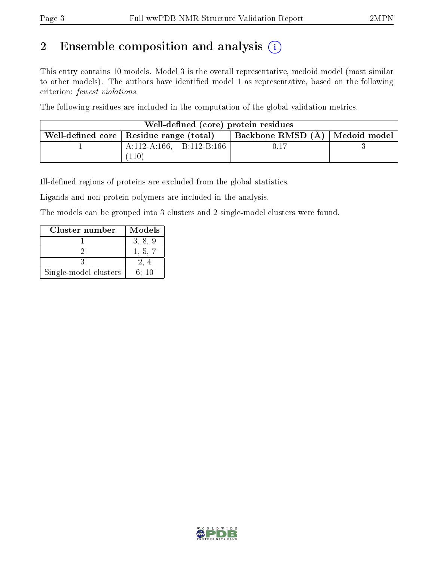# 2 Ensemble composition and analysis  $(i)$

This entry contains 10 models. Model 3 is the overall representative, medoid model (most similar to other models). The authors have identified model 1 as representative, based on the following criterion: fewest violations.

The following residues are included in the computation of the global validation metrics.

| Well-defined (core) protein residues |                                           |                                  |  |  |  |  |  |
|--------------------------------------|-------------------------------------------|----------------------------------|--|--|--|--|--|
|                                      | Well-defined core   Residue range (total) | Backbone RMSD (A)   Medoid model |  |  |  |  |  |
|                                      | $A:112-A:166$ , $B:112-B:166$             | 0.17                             |  |  |  |  |  |
|                                      | 110                                       |                                  |  |  |  |  |  |

Ill-defined regions of proteins are excluded from the global statistics.

Ligands and non-protein polymers are included in the analysis.

The models can be grouped into 3 clusters and 2 single-model clusters were found.

| Cluster number        | Models  |
|-----------------------|---------|
|                       | 3, 8, 9 |
|                       | 1, 5, 7 |
|                       |         |
| Single-model clusters | 6: 10   |

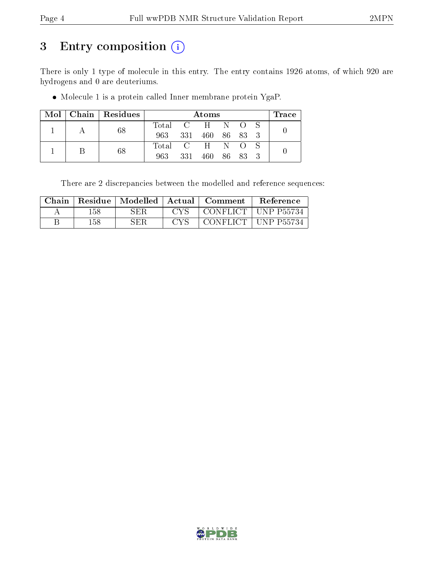# 3 Entry composition (i)

There is only 1 type of molecule in this entry. The entry contains 1926 atoms, of which 920 are hydrogens and 0 are deuteriums.

Molecule 1 is a protein called Inner membrane protein YgaP.

|  |   | $Mol$   Chain   Residues | Atoms           |       |                 |  |         |  | $\operatorname{Trace}\nolimits$ |  |  |
|--|---|--------------------------|-----------------|-------|-----------------|--|---------|--|---------------------------------|--|--|
|  |   |                          | Total C H N O S |       |                 |  |         |  |                                 |  |  |
|  |   | 68                       | 963 331         |       | 460 86 83 3     |  |         |  |                                 |  |  |
|  | В |                          |                 |       | Total C H N O S |  |         |  |                                 |  |  |
|  |   | 68                       | 963.            | - 331 | 460 —           |  | 86 83 3 |  |                                 |  |  |

There are 2 discrepancies between the modelled and reference sequences:

| Chain | Residue | Modelled   Actual |       | Comment      | Reference          |
|-------|---------|-------------------|-------|--------------|--------------------|
|       | 158     | ${\rm SER}$       | $C$ V | CONFLICT.    | <b>UNP P55734</b>  |
|       | 158     | ${\rm SER}$       | ove   | ' CONFLICT . | <b>IINP P55734</b> |

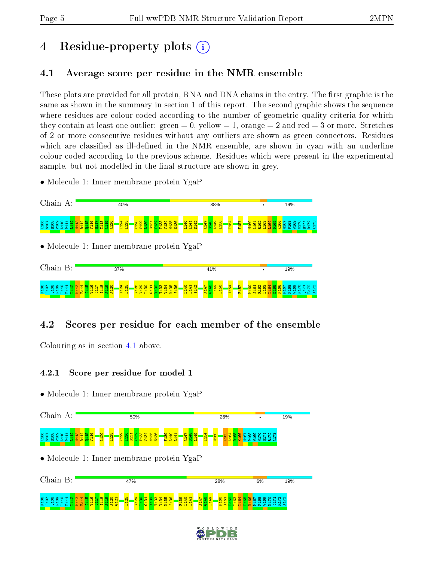# 4 Residue-property plots  $\binom{1}{1}$

## <span id="page-4-0"></span>4.1 Average score per residue in the NMR ensemble

These plots are provided for all protein, RNA and DNA chains in the entry. The first graphic is the same as shown in the summary in section 1 of this report. The second graphic shows the sequence where residues are colour-coded according to the number of geometric quality criteria for which they contain at least one outlier: green  $= 0$ , yellow  $= 1$ , orange  $= 2$  and red  $= 3$  or more. Stretches of 2 or more consecutive residues without any outliers are shown as green connectors. Residues which are classified as ill-defined in the NMR ensemble, are shown in cyan with an underline colour-coded according to the previous scheme. Residues which were present in the experimental sample, but not modelled in the final structure are shown in grey.

• Molecule 1: Inner membrane protein YgaP



## 4.2 Scores per residue for each member of the ensemble

Colouring as in section [4.1](#page-4-0) above.

### 4.2.1 Score per residue for model 1



![](_page_4_Figure_13.jpeg)

![](_page_4_Picture_14.jpeg)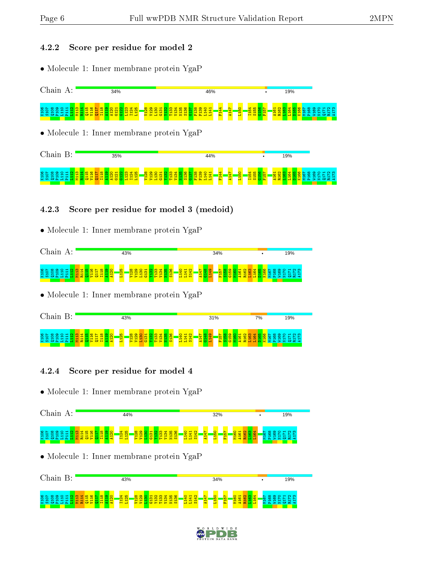#### 4.2.2 Score per residue for model 2

• Molecule 1: Inner membrane protein YgaP

![](_page_5_Figure_5.jpeg)

• Molecule 1: Inner membrane protein YgaP

![](_page_5_Figure_7.jpeg)

### 4.2.3 Score per residue for model 3 (medoid)

• Molecule 1: Inner membrane protein YgaP

![](_page_5_Figure_10.jpeg)

• Molecule 1: Inner membrane protein YgaP

![](_page_5_Figure_12.jpeg)

### 4.2.4 Score per residue for model 4

• Molecule 1: Inner membrane protein YgaP

![](_page_5_Figure_15.jpeg)

![](_page_5_Figure_17.jpeg)

![](_page_5_Picture_18.jpeg)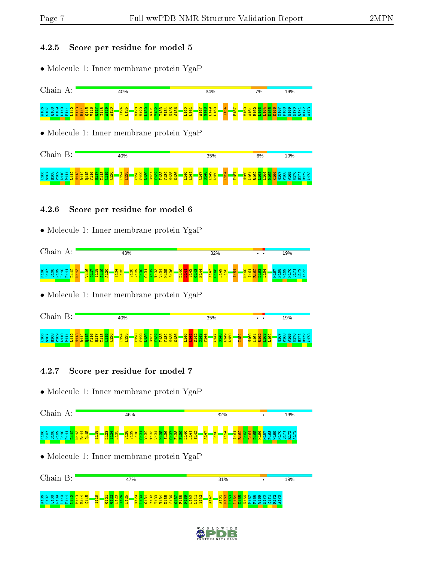#### 4.2.5 Score per residue for model 5

• Molecule 1: Inner membrane protein YgaP

![](_page_6_Figure_5.jpeg)

• Molecule 1: Inner membrane protein YgaP

![](_page_6_Figure_7.jpeg)

### 4.2.6 Score per residue for model 6

• Molecule 1: Inner membrane protein YgaP

![](_page_6_Figure_10.jpeg)

• Molecule 1: Inner membrane protein YgaP

![](_page_6_Figure_12.jpeg)

### 4.2.7 Score per residue for model 7

• Molecule 1: Inner membrane protein YgaP

![](_page_6_Figure_15.jpeg)

![](_page_6_Figure_17.jpeg)

![](_page_6_Picture_18.jpeg)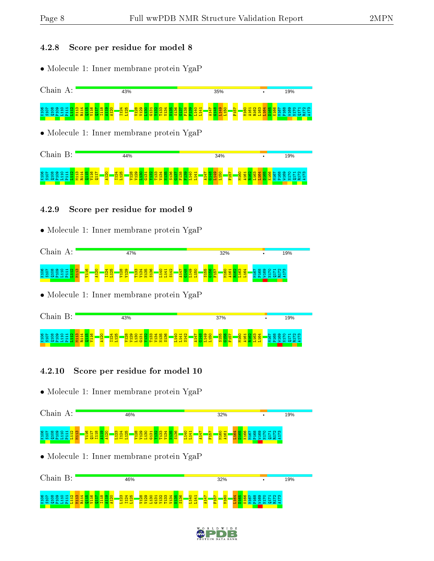#### 4.2.8 Score per residue for model 8

• Molecule 1: Inner membrane protein YgaP

![](_page_7_Figure_5.jpeg)

• Molecule 1: Inner membrane protein YgaP

![](_page_7_Figure_7.jpeg)

### 4.2.9 Score per residue for model 9

• Molecule 1: Inner membrane protein YgaP

![](_page_7_Figure_10.jpeg)

• Molecule 1: Inner membrane protein YgaP

![](_page_7_Figure_12.jpeg)

### 4.2.10 Score per residue for model 10

• Molecule 1: Inner membrane protein YgaP

![](_page_7_Figure_15.jpeg)

![](_page_7_Figure_17.jpeg)

![](_page_7_Picture_18.jpeg)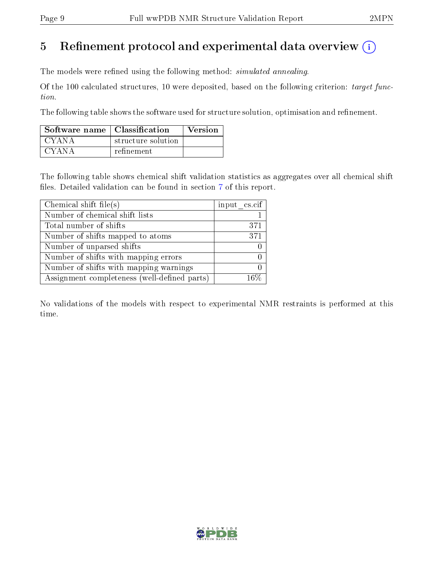# 5 Refinement protocol and experimental data overview  $\binom{1}{k}$

The models were refined using the following method: *simulated annealing*.

Of the 100 calculated structures, 10 were deposited, based on the following criterion: target function.

The following table shows the software used for structure solution, optimisation and refinement.

| Software name   Classification |                    | Version |
|--------------------------------|--------------------|---------|
| CYANA                          | structure solution |         |
| CYANA                          | refinement         |         |

The following table shows chemical shift validation statistics as aggregates over all chemical shift files. Detailed validation can be found in section [7](#page-16-0) of this report.

| Chemical shift file(s)                       | input cs.cif |
|----------------------------------------------|--------------|
| Number of chemical shift lists               |              |
| Total number of shifts                       | 371          |
| Number of shifts mapped to atoms             | 371          |
| Number of unparsed shifts                    |              |
| Number of shifts with mapping errors         |              |
| Number of shifts with mapping warnings       |              |
| Assignment completeness (well-defined parts) | 16%          |

No validations of the models with respect to experimental NMR restraints is performed at this time.

![](_page_8_Picture_11.jpeg)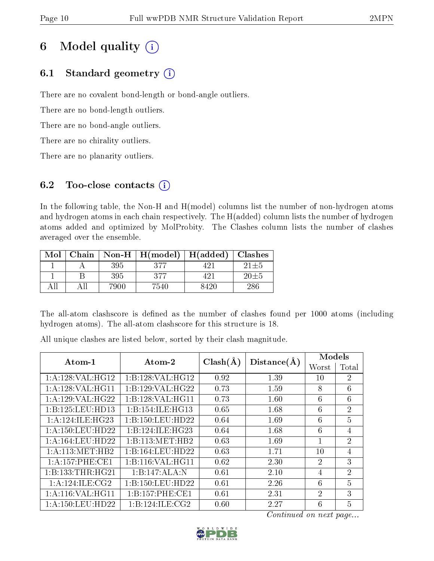# 6 Model quality  $(i)$

## 6.1 Standard geometry  $(i)$

There are no covalent bond-length or bond-angle outliers.

There are no bond-length outliers.

There are no bond-angle outliers.

There are no chirality outliers.

There are no planarity outliers.

## 6.2 Too-close contacts  $(i)$

In the following table, the Non-H and H(model) columns list the number of non-hydrogen atoms and hydrogen atoms in each chain respectively. The H(added) column lists the number of hydrogen atoms added and optimized by MolProbity. The Clashes column lists the number of clashes averaged over the ensemble.

| Mol |     |      | Chain   Non-H $\mid$ H(model) | H(added)   Classhes |            |
|-----|-----|------|-------------------------------|---------------------|------------|
|     |     | 395  | 377                           | 421                 | $21\pm5$   |
|     |     | 395  | 377                           | 421                 | $20 \pm 5$ |
|     | ΑII | 7900 | 7540                          | 8420                | 286        |

The all-atom clashscore is defined as the number of clashes found per 1000 atoms (including hydrogen atoms). The all-atom clashscore for this structure is 18.

All unique clashes are listed below, sorted by their clash magnitude.

| Atom-1              | $\boldsymbol{\mathrm{Atom}\text{-}2}$ | $Clash(\AA)$ | Distance(A) | Models         |                        |  |
|---------------------|---------------------------------------|--------------|-------------|----------------|------------------------|--|
|                     |                                       |              |             | Worst          | $\operatorname{Total}$ |  |
| 1:A:128:VAL:HG12    | 1:B:128:VAL:HG12                      | 0.92         | 1.39        | 10             | $\overline{2}$         |  |
| 1:A:128:VAL:HG11    | 1:B:129:VAL:HG22                      | 0.73         | 1.59        | 8              | 6                      |  |
| 1:A:129:VAL:HG22    | 1:B:128:VAL:HG11                      | 0.73         | 1.60        | 6              | 6                      |  |
| 1:B:125:LEU:HD13    | 1:B:154:ILE:HG13                      | 0.65         | 1.68        | 6              | $\overline{2}$         |  |
| 1: A:124: ILE: HG23 | 1:B:150:LEU:HD22                      | 0.64         | 1.69        | 6              | $\overline{5}$         |  |
| 1: A:150:LEU:HD22   | 1:B:124:ILE:HG23                      | 0.64         | 1.68        | 6              | 4                      |  |
| 1: A:164:LEU:HD22   | 1:B:113:MET:HB2                       | 0.63         | 1.69        | 1              | $\overline{2}$         |  |
| 1: A: 113: MET: HB2 | 1:B:164:LEU:HD22                      | 0.63         | 1.71        | 10             | 4                      |  |
| 1: A:157:PHE:CE1    | 1:B:116:VAL:HG11                      | 0.62         | 2.30        | $\overline{2}$ | 3                      |  |
| 1:B:133:THR:HG21    | 1:B:147:ALA:N                         | 0.61         | 2.10        | 4              | $\overline{2}$         |  |
| 1: A:124: ILE: CG2  | 1:B:150:LEU:HD22                      | 0.61         | 2.26        | 6              | 5                      |  |
| 1: A:116: VAL:HGI1  | 1: B: 157: PHE: CE1                   | 0.61         | 2.31        | $\mathcal{P}$  | 3                      |  |
| 1: A:150:LEU:HD22   | 1:B:124:ILE:CG2                       | 0.60         | 2.27        | 6              | 5                      |  |

![](_page_9_Picture_17.jpeg)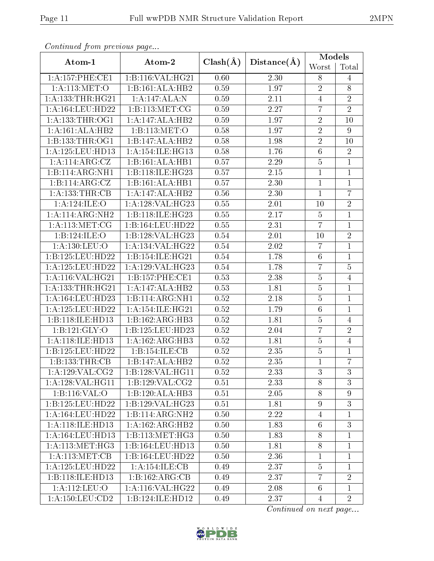|--|

| Continuea from previous page |                              |              |                   | <b>Models</b>   |                  |
|------------------------------|------------------------------|--------------|-------------------|-----------------|------------------|
| Atom-1                       | Atom-2                       | $Clash(\AA)$ | Distance(A)       | Worst           | Total            |
| 1: A: 157: PHE: CE1          | 1:B:116:VAL:HG21             | 0.60         | 2.30              | 8               | 4                |
| 1: A:113: MET:O              | 1:B:161:ALA:HB2              | 0.59         | 1.97              | $\overline{2}$  | $8\,$            |
| $1:$ A:133:THR:HG21          | 1:A:147:ALA:N                | 0.59         | 2.11              | $\overline{4}$  | $\sqrt{2}$       |
| 1:A:164:LEU:HD22             | 1:B:113:MET:CG               | 0.59         | 2.27              | $\overline{7}$  | $\overline{2}$   |
| 1: A: 133: THR: OG1          | 1:A:147:ALA:HB2              | 0.59         | 1.97              | $\overline{2}$  | 10               |
| 1:A:161:ALA:HB2              | 1:B:113:MET:O                | 0.58         | $\overline{1.97}$ | $\overline{2}$  | $\boldsymbol{9}$ |
| 1:B:133:THR:OG1              | 1:B:147:ALA:HB2              | 0.58         | 1.98              | $\overline{2}$  | 10               |
| 1:A:125:LEU:HD13             | 1: A:154: ILE: HG13          | 0.58         | 1.76              | $\sqrt{6}$      | $\sqrt{2}$       |
| 1:A:114:ARG:CZ               | 1:B:161:ALA:HB1              | 0.57         | 2.29              | $\overline{5}$  | $\mathbf{1}$     |
| 1:B:114:ARG:NH1              | 1:B:118:ILE:HG23             | 0.57         | 2.15              | $\mathbf{1}$    | $\mathbf{1}$     |
| 1:B:114:ARG:CZ               | 1:B:161:ALA:HB1              | 0.57         | 2.30              | $\mathbf{1}$    | $\overline{1}$   |
| 1:A:133:THR:CB               | 1:A:147:ALA:HB2              | 0.56         | 2.30              | $\mathbf{1}$    | $\overline{7}$   |
| 1:A:124:ILE:O                | 1:A:128:VAL:HG23             | 0.55         | 2.01              | 10              | $\sqrt{2}$       |
| 1:A:114:ARG:NH2              | 1:B:118:ILE:HG23             | 0.55         | 2.17              | $\overline{5}$  | $\mathbf{1}$     |
| 1: A:113: MET:CG             | 1:B:164:LEU:HD22             | 0.55         | 2.31              | $\overline{7}$  | $\mathbf{1}$     |
| 1:B:124:ILE:O                | 1:B:128:VAL:HG23             | 0.54         | 2.01              | 10              | $\overline{2}$   |
| 1: A: 130: LEU: O            | 1:A:134:VAL:HG22             | 0.54         | $2.02\,$          | $\overline{7}$  | $\mathbf{1}$     |
| 1:B:125:LEU:HD22             | 1:B:154:ILE:HG21             | 0.54         | 1.78              | $6\phantom{.}6$ | $\mathbf{1}$     |
| 1:A:125:LEU:HD22             | 1:A:129:VAL:HG23             | 0.54         | 1.78              | $\overline{7}$  | $\overline{5}$   |
| 1:A:116:VAL:HG21             | 1:B:157:PHE:CE1              | 0.53         | 2.38              | $\overline{5}$  | $\overline{4}$   |
| 1: A: 133: THR: HG21         | 1:A:147:ALA:HB2              | 0.53         | 1.81              | $\overline{5}$  | $\overline{1}$   |
| 1:A:164:LEU:HD23             | 1:B:114:ARG:NH1              | 0.52         | 2.18              | $\overline{5}$  | $\mathbf{1}$     |
| 1:A:125:LEU:HD22             | 1:A:154:ILE:HG21             | 0.52         | 1.79              | $\overline{6}$  | $\mathbf{1}$     |
| 1:B:118:ILE:HD13             | 1:B:162:ARG:HB3              | 0.52         | 1.81              | $\overline{5}$  | $\overline{4}$   |
| 1:B:121:GLY:O                | 1:B:125:LEU:HD23             | 0.52         | 2.04              | $\overline{7}$  | $\overline{2}$   |
| 1:A:118:ILE:HD13             | 1:A:162:ARG:HB3              | $0.52\,$     | 1.81              | $\bf 5$         | $\overline{4}$   |
| 1:B:125:LEU:HD22             | 1:B:154:ILE:CB               | 0.52         | 2.35              | $\overline{5}$  | $\mathbf{1}$     |
| 1:B:133:THR:CB               | 1:B:147:ALA:HB2              | 0.52         | 2.35              | 1               | $\overline{7}$   |
| 1:A:129:VAL:CG2              | 1:B:128:VAL:HG11             | 0.52         | 2.33              | 3               | 3                |
| 1:A:128:VAL:HG11             | 1:B:129:VAL:CG2              | 0.51         | 2.33              | 8               | $\mathfrak{Z}$   |
| 1:B:116:VAL:O                | 1:B:120:ALA:HB3              | 0.51         | 2.05              | 8               | 9                |
| 1:B:125:LEU:HD22             | 1:B:129:VAL:HG23             | 0.51         | 1.81              | 9               | 3                |
| 1: A: 164: LEU: HD22         | $1:B:114:ARG:\overline{NH2}$ | 0.50         | 2.22              | 4               | $\mathbf{1}$     |
| 1:A:118:ILE:HD13             | 1:A:162:ARG:HB2              | 0.50         | 1.83              | $6\phantom{.}6$ | $\mathbf{3}$     |
| 1: A: 164: LEU: HD13         | 1:B:113:MET:HG3              | 0.50         | 1.83              | 8               | $\mathbf{1}$     |
| 1: A:113:MET:HG3             | 1:B:164:LEU:HD13             | 0.50         | 1.81              | 8               | $\mathbf{1}$     |
| 1: A:113: MET:CB             | 1:B:164:LEU:HD22             | 0.50         | 2.36              | 1               | $\mathbf{1}$     |
| 1:A:125:LEU:HD22             | 1:A:154:ILE:CB               | 0.49         | 2.37              | $\overline{5}$  | $\mathbf{1}$     |
| 1:B:118:ILE:HD13             | 1:B:162:ARG:CB               | 0.49         | 2.37              | $\overline{7}$  | $\overline{2}$   |
| 1:A:112:LEU:O                | $1:$ A:116:VAL:HG22          | 0.49         | 2.08              | $6\phantom{.}6$ | $\mathbf{1}$     |
| 1:A:150:LEU:CD2              | 1:B:124:ILE:HD12             | 0.49         | 2.37              | $\overline{4}$  | $\overline{2}$   |

Continued from previous page.

![](_page_10_Picture_6.jpeg)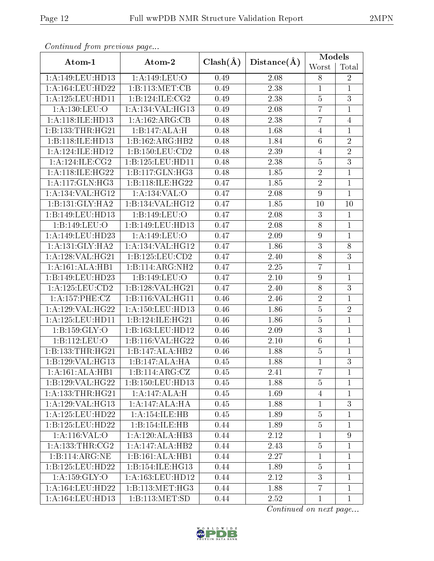| Continued from previous page |                      |              |             | Models          |                |
|------------------------------|----------------------|--------------|-------------|-----------------|----------------|
| Atom-1                       | Atom-2               | $Clash(\AA)$ | Distance(A) | Worst           | Total          |
| 1:A:149:LEU:HD13             | 1:A:149:LEU:O        | 0.49         | 2.08        | 8               | $\overline{2}$ |
| 1: A: 164: LEU: HD22         | 1:B:113:MET:CB       | 0.49         | 2.38        | $\mathbf{1}$    | $\mathbf{1}$   |
| 1:A:125:LEU:HD11             | 1:B:124:ILE:CG2      | 0.49         | 2.38        | $\overline{5}$  | $\overline{3}$ |
| 1: A: 130: LEU: O            | 1:A:134:VAL:HG13     | 0.49         | 2.08        | $\overline{7}$  | $\mathbf{1}$   |
| 1: A:118: ILE: HD13          | 1:A:162:ARG:CB       | 0.48         | 2.38        | 7               | $\overline{4}$ |
| 1:B:133:THR:HG21             | 1:B:147:ALA:H        | 0.48         | 1.68        | $\overline{4}$  | $\mathbf{1}$   |
| 1:B:118:ILE:HD13             | 1:B:162:ARG:HB2      | 0.48         | 1.84        | 6               | $\overline{2}$ |
| 1:A:124:ILE:HD12             | 1:B:150:LEU:CD2      | 0.48         | 2.39        | $\overline{4}$  | $\overline{2}$ |
| 1: A:124: ILE: CG2           | 1:B:125:LEU:HD11     | 0.48         | 2.38        | $\overline{5}$  | $\overline{3}$ |
| 1:A:118:ILE:HG22             | 1:B:117:GLN:HG3      | 0.48         | 1.85        | $\overline{2}$  | $\mathbf{1}$   |
| 1:A:117:GLN:HG3              | 1:B:118:ILE:HG22     | 0.47         | 1.85        | $\overline{2}$  | $\mathbf{1}$   |
| 1:A:134:VAL:HG12             | 1:A:134:VAL:O        | 0.47         | 2.08        | 9               | $\mathbf{1}$   |
| 1:B:131:GLY:HA2              | 1:B:134:VAL:HG12     | 0.47         | 1.85        | 10              | 10             |
| 1:B:149:LEU:HD13             | 1:B:149:LEU:O        | 0.47         | 2.08        | $\overline{3}$  | $\mathbf{1}$   |
| 1:B:149:LEU:O                | 1:B:149:LEU:HD13     | 0.47         | 2.08        | $8\,$           | $\mathbf{1}$   |
| 1:A:149:LEU:HD23             | 1:A:149:LEU:O        | 0.47         | 2.09        | $\overline{9}$  | $\mathbf{1}$   |
| 1: A: 131: GLY: HA2          | 1: A: 134: VAL: HG12 | 0.47         | 1.86        | 3               | $8\,$          |
| 1:A:128:VAL:H G21            | 1:B:125:LEU:CD2      | 0.47         | 2.40        | $\overline{8}$  | $\overline{3}$ |
| 1:A:161:ALA:HB1              | 1:B:114:ARG:NH2      | 0.47         | 2.25        | 7               | $\mathbf{1}$   |
| 1:B:149:LEU:HD23             | 1:B:149:LEU:O        | 0.47         | 2.10        | $\overline{9}$  | $\mathbf{1}$   |
| 1: A: 125: LEU: CD2          | 1:B:128:VAL:HG21     | 0.47         | 2.40        | $8\,$           | $\overline{3}$ |
| 1:A:157:PHE:CZ               | 1:B:116:VAL:HG11     | 0.46         | 2.46        | $\overline{2}$  | $\mathbf{1}$   |
| 1:A:129:VAL:HG22             | 1: A: 150: LEU: HD13 | 0.46         | 1.86        | $\overline{5}$  | $\overline{2}$ |
| 1:A:125:LEU:HD11             | 1:B:124:ILE:HG21     | 0.46         | 1.86        | $\overline{5}$  | $\mathbf{1}$   |
| 1: B: 159: GLY: O            | 1:B:163:LEU:HD12     | 0.46         | 2.09        | 3               | $\mathbf{1}$   |
| 1:B:112:LEU:O                | 1:B:116:VAL:HG22     | 0.46         | 2.10        | $6\phantom{.}6$ | $\mathbf{1}$   |
| 1:B:133:THR:HG21             | 1:B:147:ALA:HB2      | 0.46         | 1.88        | $\bf 5$         | $\mathbf{1}$   |
| 1:B:129:VAL:HG13             | 1:B:147:ALA:HA       | 0.45         | 1.88        | $\mathbf{1}$    | $\overline{3}$ |
| 1:A:161:ALA:HB1              | 1:B:114:ARG:CZ       | 0.45         | 2.41        | $\overline{7}$  | $\mathbf{1}$   |
| 1:B:129:VAL:HG22             | 1:B:150:LEU:HD13     | 0.45         | 1.88        | 5               | 1              |
| 1: A: 133: THR: HG21         | 1:A:147:ALA:H        | 0.45         | 1.69        | $\overline{4}$  | $\mathbf{1}$   |
| 1:A:129:VAL:HG13             | 1:A:147:ALA:HA       | 0.45         | 1.88        | $\mathbf{1}$    | 3              |
| 1:A:125:LEU:HD22             | 1:A:154:ILE:HB       | 0.45         | 1.89        | $\overline{5}$  | $\mathbf{1}$   |
| 1:B:125:LEU:HD22             | 1:B:154:ILE:HB       | 0.44         | 1.89        | $\overline{5}$  | $\mathbf 1$    |
| 1:A:116:VAL:O                | 1:A:120:ALA:HB3      | 0.44         | 2.12        | $\mathbf{1}$    | $\overline{9}$ |
| 1: A: 133: THR: CG2          | 1:A:147:ALA:HB2      | 0.44         | 2.43        | $\overline{5}$  | $\mathbf{1}$   |
| 1:B:114:ARG:NE               | 1:B:161:ALA:HB1      | 0.44         | 2.27        | $\mathbf{1}$    | $\mathbf{1}$   |
| 1:B:125:LEU:HD22             | 1:B:154:ILE:HG13     | 0.44         | 1.89        | 5               | $\mathbf{1}$   |
| 1:A:159:GLY:O                | 1:A:163:LEU:HD12     | 0.44         | 2.12        | 3               | $\mathbf{1}$   |
| 1:A:164:LEU:HD22             | 1: B: 113: MET: HG3  | 0.44         | 1.88        | $\overline{7}$  | 1              |
| 1:A:164:LEU:HD13             | 1:B:113:MET:SD       | 0.44         | 2.52        | $\mathbf{1}$    | $\mathbf{1}$   |

Continued from previous page...

![](_page_11_Picture_6.jpeg)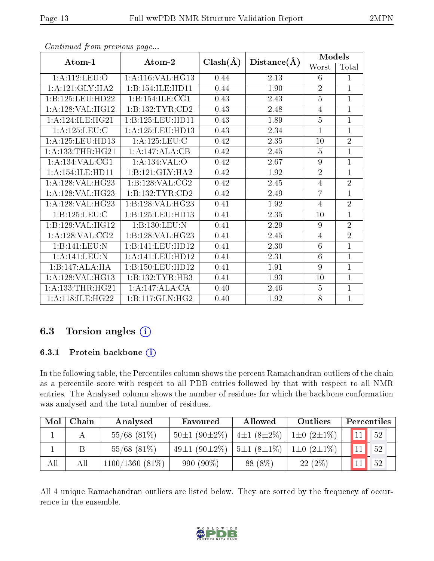| Atom-1               | Atom-2              | $Clash(\AA)$ | Distance(A) | Models         |                |  |
|----------------------|---------------------|--------------|-------------|----------------|----------------|--|
|                      |                     |              |             | Worst          | Total          |  |
| 1:A:112:LEU:O        | 1: A:116: VAL:HG13  | 0.44         | 2.13        | 6              | $\mathbf{1}$   |  |
| 1: A:121: GLY: HA2   | 1:B:154:ILE:HD11    | 0.44         | 1.90        | $\overline{2}$ | $\mathbf{1}$   |  |
| 1:B:125:LEU:HD22     | 1:B:154:ILE:CG1     | 0.43         | 2.43        | $\overline{5}$ | $\overline{1}$ |  |
| 1:A:128:VAL:HG12     | 1:B:132:TYR:CD2     | 0.43         | 2.48        | $\overline{4}$ | $\mathbf{1}$   |  |
| 1:A:124:ILE:HG21     | 1:B:125:LEU:HD11    | 0.43         | 1.89        | $\overline{5}$ | $\overline{1}$ |  |
| 1:A:125:LEU:C        | 1:A:125:LEU:HD13    | 0.43         | 2.34        | $\mathbf{1}$   | $\mathbf{1}$   |  |
| $1:$ A:125:LEU:HD13  | 1: A: 125: LEU: C   | 0.42         | 2.35        | 10             | $\overline{2}$ |  |
| 1: A: 133: THR: HG21 | 1:A:147:ALA:CB      | 0.42         | 2.45        | $\overline{5}$ | $\mathbf{1}$   |  |
| 1:A:134:VAL:CG1      | 1:A:134:VAL:O       | 0.42         | 2.67        | 9              | $\mathbf{1}$   |  |
| 1: A:154: ILE: HDI1  | 1:B:121:GLY:HA2     | 0.42         | 1.92        | $\overline{2}$ | $\mathbf{1}$   |  |
| 1:A:128:VAL:HG23     | 1: B: 128: VAL: CG2 | 0.42         | 2.45        | $\overline{4}$ | $\overline{2}$ |  |
| 1:A:128:VAL:HG23     | 1:B:132:TYR:CD2     | 0.42         | 2.49        | 7              | $\mathbf{1}$   |  |
| 1:A:128:VAL:HG23     | 1:B:128:VAL:HG23    | 0.41         | 1.92        | $\overline{4}$ | $\overline{2}$ |  |
| 1:B:125:LEU:C        | 1:B:125:LEU:HD13    | 0.41         | 2.35        | 10             | $\mathbf{1}$   |  |
| 1:B:129:VAL:HG12     | 1:B:130:LEU:N       | 0.41         | 2.29        | 9              | $\overline{2}$ |  |
| 1: A: 128: VAL: CG2  | 1:B:128:VAL:HG23    | 0.41         | 2.45        | 4              | $\overline{2}$ |  |
| 1:B:141:LEU:N        | 1:B:141:LEU:HD12    | 0.41         | 2.30        | 6              | $\mathbf{1}$   |  |
| 1:A:141:LEU:N        | 1:A:141:LEU:HD12    | 0.41         | 2.31        | 6              | $\mathbf{1}$   |  |
| 1:B:147:ALA:HA       | 1:B:150:LEU:HD12    | 0.41         | 1.91        | 9              | $\mathbf{1}$   |  |
| 1:A:128:VAL:HG13     | 1: B: 132: TYR: HB3 | 0.41         | 1.93        | 10             | $\mathbf{1}$   |  |
| 1: A: 133: THR: HG21 | 1:A:147:ALA:CA      | 0.40         | 2.46        | $\overline{5}$ | $\mathbf{1}$   |  |
| 1: A:118: ILE: HG22  | 1:B:117:GLN:HG2     | 0.40         | 1.92        | 8              | $\overline{1}$ |  |

Continued from previous page...

## 6.3 Torsion angles (i)

#### 6.3.1 Protein backbone (i)

In the following table, the Percentiles column shows the percent Ramachandran outliers of the chain as a percentile score with respect to all PDB entries followed by that with respect to all NMR entries. The Analysed column shows the number of residues for which the backbone conformation was analysed and the total number of residues.

| Mol | Chain | Analysed          | Favoured                 | Allowed          | Outliers            | Percentiles           |
|-----|-------|-------------------|--------------------------|------------------|---------------------|-----------------------|
|     |       | $55/68$ (81\%)    | $50\pm1(90\pm2\%)$       | $4\pm1(8\pm2\%)$ | $1\pm0$ $(2\pm1\%)$ | $\vert$ 11 $\vert$ 52 |
|     |       | $55/68$ $(81\%)$  | 49 $\pm$ 1 (90 $\pm$ 2%) | $5\pm1(8\pm1\%)$ | $1\pm0$ $(2\pm1\%)$ | 52                    |
| All | All   | $1100/1360(81\%)$ | 990 (90%)                | 88 (8\%)         | 22(2%)              | 52                    |

All 4 unique Ramachandran outliers are listed below. They are sorted by the frequency of occurrence in the ensemble.

![](_page_12_Picture_10.jpeg)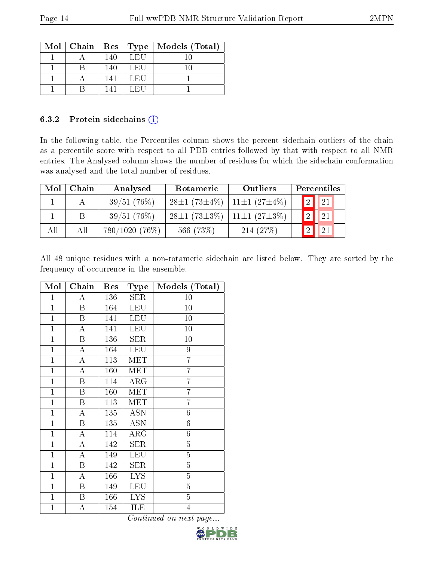|  |     |        | Mol   Chain   Res   Type   Models (Total) |
|--|-----|--------|-------------------------------------------|
|  | 140 | LEU    |                                           |
|  | 140 | LEU    |                                           |
|  | 141 | LEU    |                                           |
|  | 141 | f.E(1) |                                           |

#### 6.3.2 Protein sidechains (i)

In the following table, the Percentiles column shows the percent sidechain outliers of the chain as a percentile score with respect to all PDB entries followed by that with respect to all NMR entries. The Analysed column shows the number of residues for which the sidechain conformation was analysed and the total number of residues.

| Mol | Chain | Analysed         | Rotameric                                | Outliers                               |   | Percentiles |  |
|-----|-------|------------------|------------------------------------------|----------------------------------------|---|-------------|--|
|     |       | 39/51(76%)       | $28\pm1(73\pm4\%)$   11 $\pm1(27\pm4\%)$ |                                        |   | <b>2</b> 21 |  |
|     |       | 39/51(76%)       |                                          | $28\pm1(73\pm3\%)$ 11 $\pm1(27\pm3\%)$ | 2 | $\vert$ 21  |  |
| All | All   | $780/1020(76\%)$ | 566 (73%)                                | 214(27%)                               |   | 21          |  |

All 48 unique residues with a non-rotameric sidechain are listed below. They are sorted by the frequency of occurrence in the ensemble.

| Mol          | Chain            | Res | Type       | Models (Total)   |
|--------------|------------------|-----|------------|------------------|
| $\mathbf{1}$ | A                | 136 | SER        | 10               |
| $\mathbf{1}$ | Β                | 164 | <b>LEU</b> | 10               |
| $\mathbf{1}$ | $\boldsymbol{B}$ | 141 | <b>LEU</b> | 10               |
| $\mathbf{1}$ | A                | 141 | <b>LEU</b> | 10               |
| $\mathbf{1}$ | Β                | 136 | SER        | 10               |
| $\mathbf{1}$ | A                | 164 | LEU        | $\overline{9}$   |
| $\mathbf{1}$ | А                | 113 | MET        | $\overline{7}$   |
| $\mathbf{1}$ | A                | 160 | MET        | $\overline{7}$   |
| $\mathbf{1}$ | B                | 114 | $\rm{ARG}$ | $\overline{7}$   |
| $\mathbf{1}$ | B                | 160 | <b>MET</b> | 7                |
| $\mathbf{1}$ | Β                | 113 | MET        | $\overline{7}$   |
| $\mathbf{1}$ | A                | 135 | <b>ASN</b> | $\sqrt{6}$       |
| $\mathbf{1}$ | B                | 135 | <b>ASN</b> | $\boldsymbol{6}$ |
| $\mathbf{1}$ | A                | 114 | $\rm{ARG}$ | $\sqrt{6}$       |
| $\mathbf{1}$ | A                | 142 | SER        | $\overline{5}$   |
| $\mathbf{1}$ | A                | 149 | <b>LEU</b> | $\overline{5}$   |
| $\mathbf{1}$ | $\boldsymbol{B}$ | 142 | <b>SER</b> | $\overline{5}$   |
| $\mathbf{1}$ | A                | 166 | <b>LYS</b> | $\overline{5}$   |
| $\mathbf{1}$ | B                | 149 | LEU        | $\overline{5}$   |
| $\mathbf{1}$ | $\boldsymbol{B}$ | 166 | <b>LYS</b> | $\overline{5}$   |
| $\mathbf{1}$ | А                | 154 | ILE        | $\overline{4}$   |

![](_page_13_Picture_10.jpeg)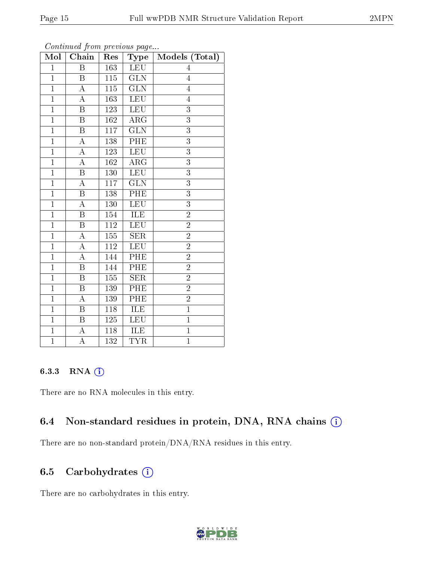| Mol            | Chain                   | Res              | $_{\rm Type}$           | Models (Total) |
|----------------|-------------------------|------------------|-------------------------|----------------|
| $\mathbf{1}$   | B                       | $\overline{163}$ | <b>LEU</b>              | 4              |
| $\overline{1}$ | B                       | 115              | $\overline{\text{GLN}}$ | $\overline{4}$ |
| $\overline{1}$ | $\overline{A}$          | 115              | $\overline{\text{GLN}}$ | $\overline{4}$ |
| $\mathbf{1}$   | A                       | 163              | LEU                     | $\overline{4}$ |
| $\overline{1}$ | $\overline{\mathrm{B}}$ | 123              | <b>LEU</b>              | $\overline{3}$ |
| $\mathbf{1}$   | B                       | 162              | ARG                     | $\overline{3}$ |
| $\mathbf{1}$   | $\overline{B}$          | 117              | $\overline{\text{GLN}}$ | 3              |
| $\overline{1}$ | А                       | 138              | PHE                     | $\overline{3}$ |
| $\mathbf{1}$   | A                       | 123              | <b>LEU</b>              | 3              |
| $\overline{1}$ | $\overline{\rm A}$      | 162              | $\overline{\rm{ARG}}$   | $\overline{3}$ |
| $\overline{1}$ | B                       | 130              | <b>LEU</b>              | $\overline{3}$ |
| $\overline{1}$ | A                       | 117              | $\overline{\text{GLN}}$ | $\overline{3}$ |
| $\mathbf{1}$   | Β                       | 138              | PHE                     | $\overline{3}$ |
| $\mathbf{1}$   | А                       | 130              | <b>LEU</b>              | 3              |
| $\overline{1}$ | $\boldsymbol{B}$        | 154              | ILE                     | $\overline{2}$ |
| $\overline{1}$ | $\overline{B}$          | 112              | LEU                     | $\overline{2}$ |
| $\mathbf{1}$   | A                       | $\overline{155}$ | $\overline{\text{SER}}$ | $\overline{2}$ |
| $\mathbf{1}$   | A                       | 112              | <b>LEU</b>              | $\overline{2}$ |
| $\mathbf{1}$   | A                       | 144              | PHE                     | $\overline{2}$ |
| $\overline{1}$ | $\boldsymbol{B}$        | 144              | $\overline{\rm{PHE}}$   | $\overline{2}$ |
| $\overline{1}$ | B                       | 155              | <b>SER</b>              | $\overline{2}$ |
| $\overline{1}$ | $\overline{\mathrm{B}}$ | 139              | PHE                     | $\overline{2}$ |
| $\mathbf{1}$   | A                       | 139              | PHE                     | $\overline{2}$ |
| $\mathbf{1}$   | $\overline{\mathrm{B}}$ | $118\,$          | <b>ILE</b>              | $\overline{1}$ |
| $\overline{1}$ | B                       | 125              | <b>LEU</b>              | $\overline{1}$ |
| $\overline{1}$ | A                       | 118              | ILE                     | $\overline{1}$ |
| $\overline{1}$ | $\overline{\rm A}$      | 132              | <b>TYR</b>              | $\overline{1}$ |

Continued from previous page...

### 6.3.3 RNA [O](https://www.wwpdb.org/validation/2017/NMRValidationReportHelp#rna)i

There are no RNA molecules in this entry.

### 6.4 Non-standard residues in protein, DNA, RNA chains (i)

There are no non-standard protein/DNA/RNA residues in this entry.

### 6.5 Carbohydrates (i)

There are no carbohydrates in this entry.

![](_page_14_Picture_11.jpeg)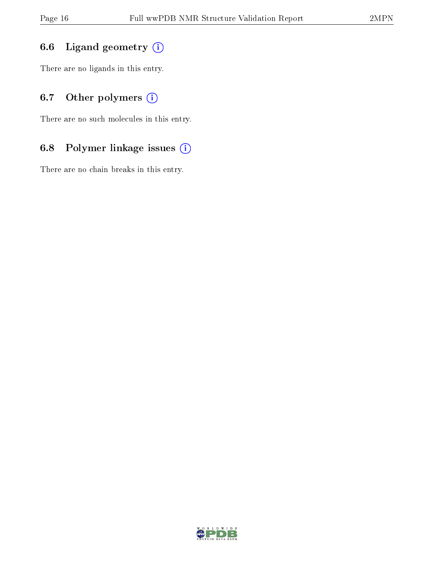## 6.6 Ligand geometry (i)

There are no ligands in this entry.

## 6.7 [O](https://www.wwpdb.org/validation/2017/NMRValidationReportHelp#nonstandard_residues_and_ligands)ther polymers (i)

There are no such molecules in this entry.

## 6.8 Polymer linkage issues (i)

There are no chain breaks in this entry.

![](_page_15_Picture_9.jpeg)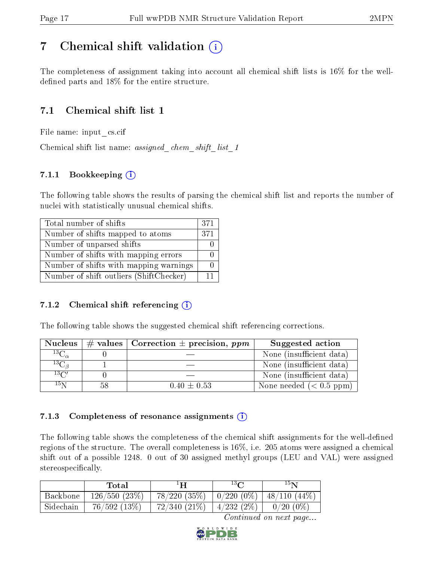# <span id="page-16-0"></span>7 Chemical shift validation  $\left( \begin{array}{c} \overline{1} \end{array} \right)$

The completeness of assignment taking into account all chemical shift lists is 16% for the welldefined parts and  $18\%$  for the entire structure.

## 7.1 Chemical shift list 1

File name: input\_cs.cif

Chemical shift list name: *assigned\_chem\_shift\_list\_1* 

### 7.1.1 Bookkeeping (i)

The following table shows the results of parsing the chemical shift list and reports the number of nuclei with statistically unusual chemical shifts.

| Total number of shifts                  | 371 |
|-----------------------------------------|-----|
| Number of shifts mapped to atoms        | 371 |
| Number of unparsed shifts               |     |
| Number of shifts with mapping errors    |     |
| Number of shifts with mapping warnings  |     |
| Number of shift outliers (ShiftChecker) | 11  |

### 7.1.2 Chemical shift referencing  $(i)$

The following table shows the suggested chemical shift referencing corrections.

| <b>Nucleus</b>                           | $\#$ values   Correction $\pm$ precision, ppm | Suggested action         |
|------------------------------------------|-----------------------------------------------|--------------------------|
| $^{13}$ C <sub><math>\alpha</math></sub> |                                               | None (insufficient data) |
| ${}^{13}C_{\vartheta}$                   |                                               | None (insufficient data) |
| $13\text{C}$                             |                                               | None (insufficient data) |
| $15\,\mathrm{N}$                         | $0.40 \pm 0.53$                               | None needed $(0.5 ppm)$  |

### 7.1.3 Completeness of resonance assignments  $(i)$

The following table shows the completeness of the chemical shift assignments for the well-defined regions of the structure. The overall completeness is 16%, i.e. 205 atoms were assigned a chemical shift out of a possible 1248. 0 out of 30 assigned methyl groups (LEU and VAL) were assigned stereospecifically.

|           | Total        | ŦН                | $13\Omega$   | $15\,$ nt      |
|-----------|--------------|-------------------|--------------|----------------|
| Backbone  | 126/550(23%) | $78/220$ $(35\%)$ | $0/220(0\%)$ | $48/110(44\%)$ |
| Sidechain | 76/592(13%)  | $72/340(21\%)$    | 4/232(2%)    | $0/20(0\%)$    |

![](_page_16_Picture_18.jpeg)